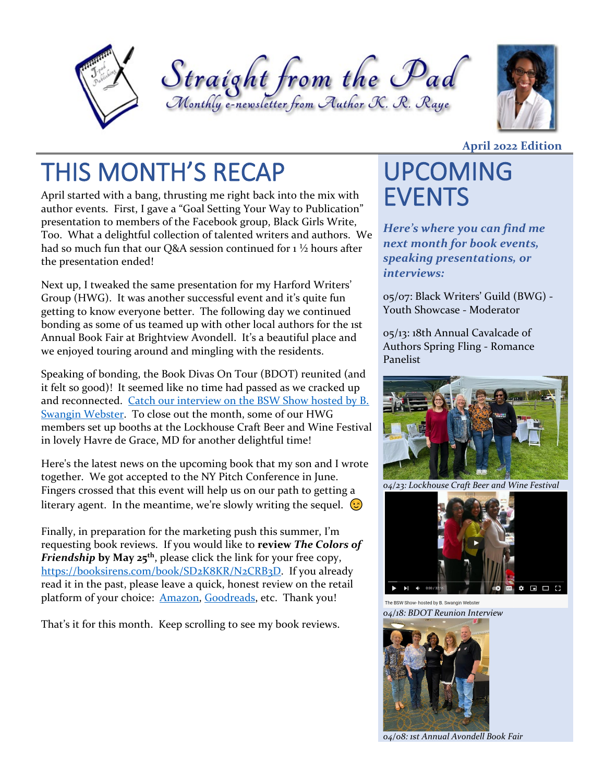





# THIS MONTH'S RECAP UPCOMING

April started with a bang, thrusting me right back into the mix with author events. First, I gave a "Goal Setting Your Way to Publication" presentation to members of the Facebook group, Black Girls Write, Too. What a delightful collection of talented writers and authors. We had so much fun that our Q&A session continued for 1 ½ hours after the presentation ended!

Next up, I tweaked the same presentation for my Harford Writers' Group (HWG). It was another successful event and it's quite fun getting to know everyone better. The following day we continued bonding as some of us teamed up with other local authors for the 1st Annual Book Fair at Brightview Avondell. It's a beautiful place and we enjoyed touring around and mingling with the residents.

Speaking of bonding, the Book Divas On Tour (BDOT) reunited (and it felt so good)! It seemed like no time had passed as we cracked up and reconnected. [Catch our interview on the BSW Show hosted by B.](https://youtu.be/qBRoFhiqbNo)  [Swangin Webster.](https://youtu.be/qBRoFhiqbNo) To close out the month, some of our HWG members set up booths at the Lockhouse Craft Beer and Wine Festival in lovely Havre de Grace, MD for another delightful time!

Here's the latest news on the upcoming book that my son and I wrote together. We got accepted to the NY Pitch Conference in June. Fingers crossed that this event will help us on our path to getting a literary agent. In the meantime, we're slowly writing the sequel.  $\odot$ 

Finally, in preparation for the marketing push this summer, I'm requesting book reviews. If you would like to **review** *The Colors of Friendship* **by May 25th**, please click the link for your free copy, [https://booksirens.com/book/SD2K8KR/N2CRB3D.](https://booksirens.com/book/SD2K8KR/N2CRB3D) If you already read it in the past, please leave a quick, honest review on the retail platform of your choice: [Amazon,](https://www.amazon.com/Colors-Friendship-Trilogy/dp/1940361001/) [Goodreads,](https://www.goodreads.com/book/show/60668257-the-colors-of-friendship) etc. Thank you!

That's it for this month. Keep scrolling to see my book reviews.

#### **April 2022 Edition**

# EVENTS

*Here's where you can find me next month for book events, speaking presentations, or interviews:* 

05/07: Black Writers' Guild (BWG) - Youth Showcase - Moderator

05/13: 18th Annual Cavalcade of Authors Spring Fling - Romance Panelist



*04/23: Lockhouse Craft Beer and Wine Festival*



The BSW Show- hosted by B. Swangin Webster *04/18: BDOT Reunion Interview*



*04/08: 1st Annual Avondell Book Fair*